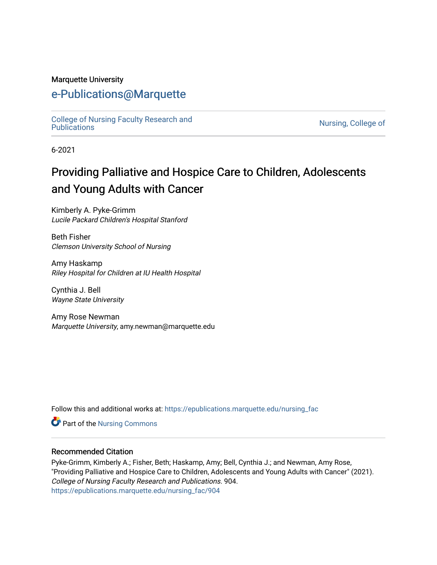#### Marquette University

## [e-Publications@Marquette](https://epublications.marquette.edu/)

[College of Nursing Faculty Research and](https://epublications.marquette.edu/nursing_fac)<br>Publications

Nursing, College of

6-2021

# Providing Palliative and Hospice Care to Children, Adolescents and Young Adults with Cancer

Kimberly A. Pyke-Grimm Lucile Packard Children's Hospital Stanford

Beth Fisher Clemson University School of Nursing

Amy Haskamp Riley Hospital for Children at IU Health Hospital

Cynthia J. Bell Wayne State University

Amy Rose Newman Marquette University, amy.newman@marquette.edu

Follow this and additional works at: [https://epublications.marquette.edu/nursing\\_fac](https://epublications.marquette.edu/nursing_fac?utm_source=epublications.marquette.edu%2Fnursing_fac%2F904&utm_medium=PDF&utm_campaign=PDFCoverPages)

Part of the [Nursing Commons](https://network.bepress.com/hgg/discipline/718?utm_source=epublications.marquette.edu%2Fnursing_fac%2F904&utm_medium=PDF&utm_campaign=PDFCoverPages) 

#### Recommended Citation

Pyke-Grimm, Kimberly A.; Fisher, Beth; Haskamp, Amy; Bell, Cynthia J.; and Newman, Amy Rose, "Providing Palliative and Hospice Care to Children, Adolescents and Young Adults with Cancer" (2021). College of Nursing Faculty Research and Publications. 904. [https://epublications.marquette.edu/nursing\\_fac/904](https://epublications.marquette.edu/nursing_fac/904?utm_source=epublications.marquette.edu%2Fnursing_fac%2F904&utm_medium=PDF&utm_campaign=PDFCoverPages)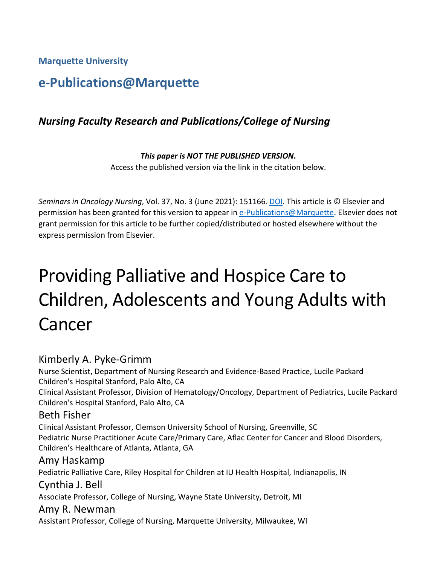**Marquette University**

# **e-Publications@Marquette**

## *Nursing Faculty Research and Publications/College of Nursing*

#### *This paper is NOT THE PUBLISHED VERSION***.**  Access the published version via the link in the citation below.

*Seminars in Oncology Nursing*, Vol. 37, No. 3 (June 2021): 151166[. DOI.](https://doi.org/10.1016/j.soncn.2021.151166) This article is © Elsevier and permission has been granted for this version to appear in [e-Publications@Marquette.](http://epublications.marquette.edu/) Elsevier does not grant permission for this article to be further copied/distributed or hosted elsewhere without the express permission from Elsevier.

# Providing Palliative and Hospice Care to Children, Adolescents and Young Adults with Cancer

#### Kimberly A. Pyke-Grimm

Nurse Scientist, Department of Nursing Research and Evidence-Based Practice, Lucile Packard Children's Hospital Stanford, Palo Alto, CA Clinical Assistant Professor, Division of Hematology/Oncology, Department of Pediatrics, Lucile Packard Children's Hospital Stanford, Palo Alto, CA Beth Fisher Clinical Assistant Professor, Clemson University School of Nursing, Greenville, SC Pediatric Nurse Practitioner Acute Care/Primary Care, Aflac Center for Cancer and Blood Disorders, Children's Healthcare of Atlanta, Atlanta, GA Amy Haskamp Pediatric Palliative Care, Riley Hospital for Children at IU Health Hospital, Indianapolis, IN Cynthia J. Bell Associate Professor, College of Nursing, Wayne State University, Detroit, MI Amy R. Newman Assistant Professor, College of Nursing, Marquette University, Milwaukee, WI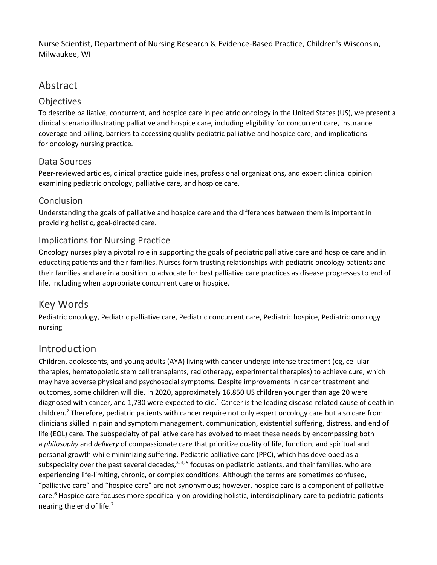Nurse Scientist, Department of Nursing Research & Evidence-Based Practice, Children's Wisconsin, Milwaukee, WI

## Abstract

#### **Objectives**

To describe palliative, concurrent, and hospice care in pediatric oncology in the United States (US), we present a clinical scenario illustrating palliative and hospice care, including eligibility for concurrent care, insurance coverage and billing, barriers to accessing quality pediatric palliative and hospice care, and implications for oncology nursing practice*.*

#### Data Sources

Peer-reviewed articles, clinical practice guidelines, professional organizations, and expert clinical opinion examining pediatric oncology, palliative care, and hospice care.

#### Conclusion

Understanding the goals of palliative and hospice care and the differences between them is important in providing holistic, goal-directed care.

#### Implications for Nursing Practice

Oncology nurses play a pivotal role in supporting the goals of pediatric palliative care and hospice care and in educating patients and their families. Nurses form trusting relationships with pediatric oncology patients and their families and are in a position to advocate for best palliative care practices as disease progresses to end of life, including when appropriate concurrent care or hospice.

## Key Words

Pediatric oncology, Pediatric palliative care, Pediatric concurrent care, Pediatric hospice, Pediatric oncology nursing

## Introduction

Children, adolescents, and young adults (AYA) living with cancer undergo intense treatment (eg, cellular therapies, hematopoietic stem cell transplants, radiotherapy, experimental therapies) to achieve cure, which may have adverse physical and psychosocial symptoms. Despite improvements in cancer treatment and outcomes, some children will die. In 2020, approximately 16,850 US children younger than age 20 were diagnosed with cancer, and 1,730 were expected to die.<sup>1</sup> Cancer is the leading disease-related cause of death in children.2 Therefore, pediatric patients with cancer require not only expert oncology care but also care from clinicians skilled in pain and symptom management, communication, existential suffering, distress, and end of life (EOL) care. The subspecialty of palliative care has evolved to meet these needs by encompassing both a *philosophy* and *delivery* of compassionate care that prioritize quality of life, function, and spiritual and personal growth while minimizing suffering. Pediatric palliative care (PPC), which has developed as a subspecialty over the past several decades, $3, 4, 5$  focuses on pediatric patients, and their families, who are experiencing life-limiting, chronic, or complex conditions. Although the terms are sometimes confused, "palliative care" and "hospice care" are not synonymous; however, hospice care is a component of palliative care.<sup>6</sup> Hospice care focuses more specifically on providing holistic, interdisciplinary care to pediatric patients nearing the end of life.7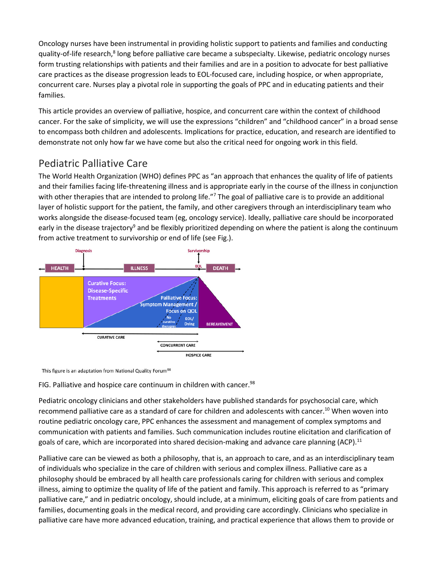Oncology nurses have been instrumental in providing holistic support to patients and families and conducting quality-of-life research,<sup>8</sup> long before palliative care became a subspecialty. Likewise, pediatric oncology nurses form trusting relationships with patients and their families and are in a position to advocate for best palliative care practices as the disease progression leads to EOL-focused care, including hospice, or when appropriate, concurrent care. Nurses play a pivotal role in supporting the goals of PPC and in educating patients and their families*.*

This article provides an overview of palliative, hospice, and concurrent care within the context of childhood cancer. For the sake of simplicity, we will use the expressions "children" and "childhood cancer" in a broad sense to encompass both children and adolescents. Implications for practice, education, and research are identified to demonstrate not only how far we have come but also the critical need for ongoing work in this field.

## Pediatric Palliative Care

The World Health Organization (WHO) defines PPC as "an approach that enhances the quality of life of patients and their families facing life-threatening illness and is appropriate early in the course of the illness in conjunction with other therapies that are intended to prolong life."<sup>7</sup> The goal of palliative care is to provide an additional layer of holistic support for the patient, the family, and other caregivers through an interdisciplinary team who works alongside the disease-focused team (eg, oncology service). Ideally, palliative care should be incorporated early in the disease trajectory<sup>9</sup> and be flexibly prioritized depending on where the patient is along the continuum from active treatment to survivorship or end of life (see Fig.).



This figure is an adaptation from National Quality Forum<sup>98</sup>

FIG. Palliative and hospice care continuum in children with cancer.<sup>98</sup>

Pediatric oncology clinicians and other stakeholders have published standards for psychosocial care, which recommend palliative care as a standard of care for children and adolescents with cancer.<sup>10</sup> When woven into routine pediatric oncology care, PPC enhances the assessment and management of complex symptoms and communication with patients and families. Such communication includes routine elicitation and clarification of goals of care, which are incorporated into shared decision-making and advance care planning (ACP).<sup>11</sup>

Palliative care can be viewed as both a philosophy, that is, an approach to care, and as an interdisciplinary team of individuals who specialize in the care of children with serious and complex illness. Palliative care as a philosophy should be embraced by all health care professionals caring for children with serious and complex illness, aiming to optimize the quality of life of the patient and family. This approach is referred to as "primary palliative care," and in pediatric oncology, should include, at a minimum, eliciting goals of care from patients and families, documenting goals in the medical record, and providing care accordingly. Clinicians who specialize in palliative care have more advanced education, training, and practical experience that allows them to provide or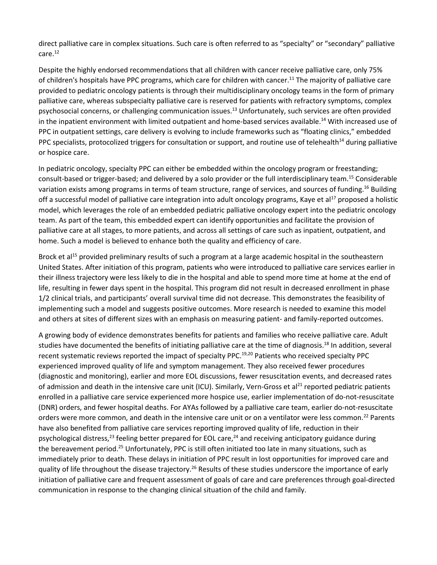direct palliative care in complex situations. Such care is often referred to as "specialty" or "secondary" palliative care.12

Despite the highly endorsed recommendations that all children with cancer receive palliative care, only 75% of children's hospitals have PPC programs, which care for children with cancer.11 The majority of palliative care provided to pediatric oncology patients is through their multidisciplinary oncology teams in the form of primary palliative care, whereas subspecialty palliative care is reserved for patients with refractory symptoms, complex psychosocial concerns, or challenging communication issues.13 Unfortunately, such services are often provided in the inpatient environment with limited outpatient and home-based services available.<sup>14</sup> With increased use of PPC in outpatient settings, care delivery is evolving to include frameworks such as "floating clinics," embedded PPC specialists, protocolized triggers for consultation or support, and routine use of telehealth<sup>14</sup> during palliative or hospice care.

In pediatric oncology, specialty PPC can either be embedded within the oncology program or freestanding; consult-based or trigger-based; and delivered by a solo provider or the full interdisciplinary team.15 Considerable variation exists among programs in terms of team structure, range of services, and sources of funding.<sup>16</sup> Building off a successful model of palliative care integration into adult oncology programs, Kaye et al<sup>17</sup> proposed a holistic model, which leverages the role of an embedded pediatric palliative oncology expert into the pediatric oncology team. As part of the team, this embedded expert can identify opportunities and facilitate the provision of palliative care at all stages, to more patients, and across all settings of care such as inpatient, outpatient, and home. Such a model is believed to enhance both the quality and efficiency of care.

Brock et al<sup>15</sup> provided preliminary results of such a program at a large academic hospital in the southeastern United States. After initiation of this program, patients who were introduced to palliative care services earlier in their illness trajectory were less likely to die in the hospital and able to spend more time at home at the end of life, resulting in fewer days spent in the hospital. This program did not result in decreased enrollment in phase 1/2 clinical trials, and participants' overall survival time did not decrease. This demonstrates the feasibility of implementing such a model and suggests positive outcomes. More research is needed to examine this model and others at sites of different sizes with an emphasis on measuring patient- and family-reported outcomes.

A growing body of evidence demonstrates benefits for patients and families who receive palliative care. Adult studies have documented the benefits of initiating palliative care at the time of diagnosis.<sup>18</sup> In addition, several recent systematic reviews reported the impact of specialty PPC.<sup>19,20</sup> Patients who received specialty PPC experienced improved quality of life and symptom management. They also received fewer procedures (diagnostic and monitoring), earlier and more EOL discussions, fewer resuscitation events, and decreased rates of admission and death in the intensive care unit (ICU). Similarly, Vern-Gross et al<sup>21</sup> reported pediatric patients enrolled in a palliative care service experienced more hospice use, earlier implementation of do-not-resuscitate (DNR) orders, and fewer hospital deaths. For AYAs followed by a palliative care team, earlier do-not-resuscitate orders were more common, and death in the intensive care unit or on a ventilator were less common.<sup>22</sup> Parents have also benefited from palliative care services reporting improved quality of life, reduction in their psychological distress,<sup>23</sup> feeling better prepared for EOL care,<sup>24</sup> and receiving anticipatory guidance during the bereavement period.<sup>25</sup> Unfortunately, PPC is still often initiated too late in many situations, such as immediately prior to death. These delays in initiation of PPC result in lost opportunities for improved care and quality of life throughout the disease trajectory.<sup>26</sup> Results of these studies underscore the importance of early initiation of palliative care and frequent assessment of goals of care and care preferences through goal-directed communication in response to the changing clinical situation of the child and family.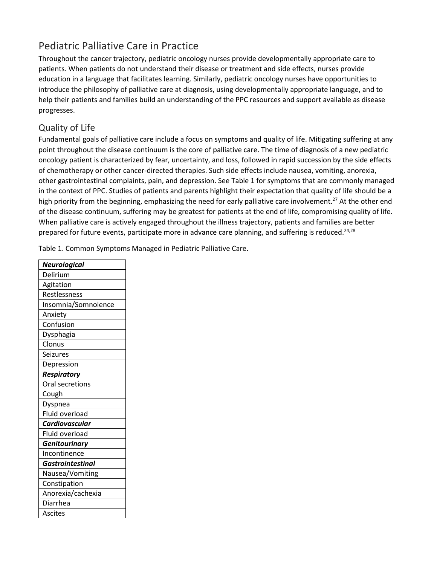## Pediatric Palliative Care in Practice

Throughout the cancer trajectory, pediatric oncology nurses provide developmentally appropriate care to patients. When patients do not understand their disease or treatment and side effects, nurses provide education in a language that facilitates learning. Similarly, pediatric oncology nurses have opportunities to introduce the philosophy of palliative care at diagnosis, using developmentally appropriate language, and to help their patients and families build an understanding of the PPC resources and support available as disease progresses.

#### Quality of Life

Fundamental goals of palliative care include a focus on symptoms and quality of life. Mitigating suffering at any point throughout the disease continuum is the core of palliative care. The time of diagnosis of a new pediatric oncology patient is characterized by fear, uncertainty, and loss, followed in rapid succession by the side effects of chemotherapy or other cancer-directed therapies. Such side effects include nausea, vomiting, anorexia, other gastrointestinal complaints, pain, and depression. See Table 1 for symptoms that are commonly managed in the context of PPC. Studies of patients and parents highlight their expectation that quality of life should be a high priority from the beginning, emphasizing the need for early palliative care involvement.<sup>27</sup> At the other end of the disease continuum, suffering may be greatest for patients at the end of life, compromising quality of life. When palliative care is actively engaged throughout the illness trajectory, patients and families are better prepared for future events, participate more in advance care planning, and suffering is reduced.<sup>24,28</sup>

Table 1. Common Symptoms Managed in Pediatric Palliative Care.

| Neurological            |
|-------------------------|
| Delirium                |
| Agitation               |
| Restlessness            |
| Insomnia/Somnolence     |
| Anxiety                 |
| Confusion               |
| Dysphagia               |
| Clonus                  |
| Seizures                |
| Depression              |
| <b>Respiratory</b>      |
| Oral secretions         |
| Cough                   |
| Dyspnea                 |
| Fluid overload          |
| <b>Cardiovascular</b>   |
| Fluid overload          |
| Genitourinary           |
| Incontinence            |
| <b>Gastrointestinal</b> |
| Nausea/Vomiting         |
| Constipation            |
| Anorexia/cachexia       |
| Diarrhea                |
| <b>Ascites</b>          |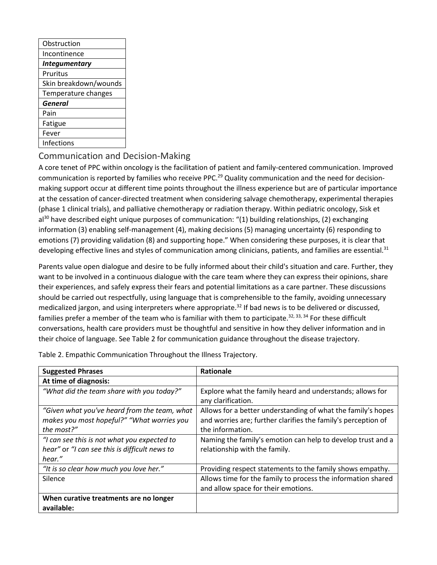| Obstruction           |  |  |
|-----------------------|--|--|
| Incontinence          |  |  |
| <b>Integumentary</b>  |  |  |
| Pruritus              |  |  |
| Skin breakdown/wounds |  |  |
| Temperature changes   |  |  |
| General               |  |  |
| Pain                  |  |  |
| Fatigue               |  |  |
| Fever                 |  |  |
| Infections            |  |  |
|                       |  |  |

#### Communication and Decision-Making

A core tenet of PPC within oncology is the facilitation of patient and family-centered communication. Improved communication is reported by families who receive PPC.<sup>29</sup> Quality communication and the need for decisionmaking support occur at different time points throughout the illness experience but are of particular importance at the cessation of cancer-directed treatment when considering salvage chemotherapy, experimental therapies (phase 1 clinical trials), and palliative chemotherapy or radiation therapy. Within pediatric oncology, Sisk et al<sup>30</sup> have described eight unique purposes of communication: "(1) building relationships, (2) exchanging information (3) enabling self-management (4), making decisions (5) managing uncertainty (6) responding to emotions (7) providing validation (8) and supporting hope." When considering these purposes, it is clear that developing effective lines and styles of communication among clinicians, patients, and families are essential.<sup>31</sup>

Parents value open dialogue and desire to be fully informed about their child's situation and care. Further, they want to be involved in a continuous dialogue with the care team where they can express their opinions, share their experiences, and safely express their fears and potential limitations as a care partner. These discussions should be carried out respectfully, using language that is comprehensible to the family, avoiding unnecessary medicalized jargon, and using interpreters where appropriate.<sup>32</sup> If bad news is to be delivered or discussed, families prefer a member of the team who is familiar with them to participate.<sup>32, 33, 34</sup> For these difficult conversations, health care providers must be thoughtful and sensitive in how they deliver information and in their choice of language. See Table 2 for communication guidance throughout the disease trajectory.

| <b>Suggested Phrases</b>                      | Rationale                                                     |
|-----------------------------------------------|---------------------------------------------------------------|
| At time of diagnosis:                         |                                                               |
| "What did the team share with you today?"     | Explore what the family heard and understands; allows for     |
|                                               | any clarification.                                            |
| "Given what you've heard from the team, what  | Allows for a better understanding of what the family's hopes  |
| makes you most hopeful?" "What worries you    | and worries are; further clarifies the family's perception of |
| the most?"                                    | the information.                                              |
| "I can see this is not what you expected to   | Naming the family's emotion can help to develop trust and a   |
| hear" or "I can see this is difficult news to | relationship with the family.                                 |
| hear."                                        |                                                               |
| "It is so clear how much you love her."       | Providing respect statements to the family shows empathy.     |
| Silence                                       | Allows time for the family to process the information shared  |
|                                               | and allow space for their emotions.                           |
| When curative treatments are no longer        |                                                               |
| available:                                    |                                                               |

Table 2. Empathic Communication Throughout the Illness Trajectory.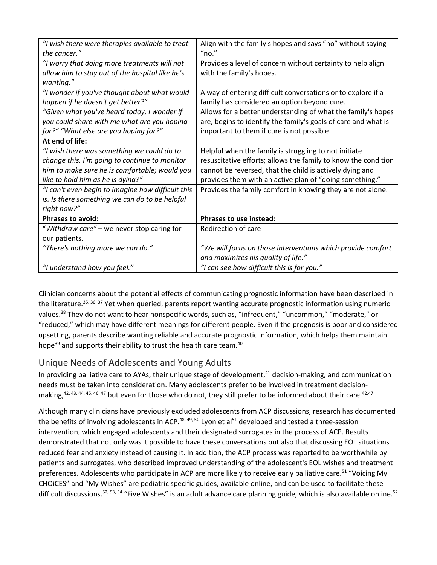| "I wish there were therapies available to treat   | Align with the family's hopes and says "no" without saying     |
|---------------------------------------------------|----------------------------------------------------------------|
| the cancer."                                      | "no."                                                          |
| "I worry that doing more treatments will not      | Provides a level of concern without certainty to help align    |
| allow him to stay out of the hospital like he's   | with the family's hopes.                                       |
| wanting."                                         |                                                                |
| "I wonder if you've thought about what would      | A way of entering difficult conversations or to explore if a   |
| happen if he doesn't get better?"                 | family has considered an option beyond cure.                   |
| "Given what you've heard today, I wonder if       | Allows for a better understanding of what the family's hopes   |
| you could share with me what are you hoping       | are, begins to identify the family's goals of care and what is |
| for?" "What else are you hoping for?"             | important to them if cure is not possible.                     |
| At end of life:                                   |                                                                |
| "I wish there was something we could do to        | Helpful when the family is struggling to not initiate          |
| change this. I'm going to continue to monitor     | resuscitative efforts; allows the family to know the condition |
| him to make sure he is comfortable; would you     | cannot be reversed, that the child is actively dying and       |
| like to hold him as he is dying?"                 | provides them with an active plan of "doing something."        |
| "I can't even begin to imagine how difficult this | Provides the family comfort in knowing they are not alone.     |
| is. Is there something we can do to be helpful    |                                                                |
| right now?"                                       |                                                                |
| <b>Phrases to avoid:</b>                          | <b>Phrases to use instead:</b>                                 |
| "Withdraw care" - we never stop caring for        | Redirection of care                                            |
| our patients.                                     |                                                                |
| "There's nothing more we can do."                 | "We will focus on those interventions which provide comfort    |
|                                                   | and maximizes his quality of life."                            |
| "I understand how you feel."                      | "I can see how difficult this is for you."                     |

Clinician concerns about the potential effects of communicating prognostic information have been described in the literature.<sup>35, 36, 37</sup> Yet when queried, parents report wanting accurate prognostic information using numeric values.<sup>38</sup> They do not want to hear nonspecific words, such as, "infrequent," "uncommon," "moderate," or "reduced," which may have different meanings for different people. Even if the prognosis is poor and considered upsetting, parents describe wanting reliable and accurate prognostic information, which helps them maintain hope<sup>39</sup> and supports their ability to trust the health care team.<sup>40</sup>

#### Unique Needs of Adolescents and Young Adults

In providing palliative care to AYAs, their unique stage of development, $41$  decision-making, and communication needs must be taken into consideration. Many adolescents prefer to be involved in treatment decisionmaking,<sup>42, 43, 44, 45, 46, 47</sup> but even for those who do not, they still prefer to be informed about their care.<sup>42,47</sup>

Although many clinicians have previously excluded adolescents from ACP discussions, research has documented the benefits of involving adolescents in ACP.<sup>48, 49, 50</sup> Lyon et al<sup>51</sup> developed and tested a three-session intervention, which engaged adolescents and their designated surrogates in the process of ACP. Results demonstrated that not only was it possible to have these conversations but also that discussing EOL situations reduced fear and anxiety instead of causing it. In addition, the ACP process was reported to be worthwhile by patients and surrogates, who described improved understanding of the adolescent's EOL wishes and treatment preferences. Adolescents who participate in ACP are more likely to receive early palliative care.<sup>51</sup> "Voicing My CHOiCES" and "My Wishes" are pediatric specific guides, available online, and can be used to facilitate these difficult discussions.<sup>52, 53, 54</sup> "Five Wishes" is an adult advance care planning guide, which is also available online.<sup>52</sup>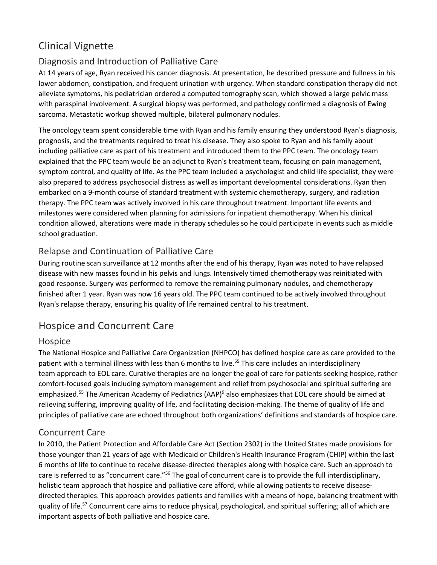# Clinical Vignette

#### Diagnosis and Introduction of Palliative Care

At 14 years of age, Ryan received his cancer diagnosis. At presentation, he described pressure and fullness in his lower abdomen, constipation, and frequent urination with urgency. When standard constipation therapy did not alleviate symptoms, his pediatrician ordered a computed tomography scan, which showed a large pelvic mass with paraspinal involvement. A surgical biopsy was performed, and pathology confirmed a diagnosis of Ewing sarcoma. Metastatic workup showed multiple, bilateral pulmonary nodules.

The oncology team spent considerable time with Ryan and his family ensuring they understood Ryan's diagnosis, prognosis, and the treatments required to treat his disease. They also spoke to Ryan and his family about including palliative care as part of his treatment and introduced them to the PPC team. The oncology team explained that the PPC team would be an adjunct to Ryan's treatment team, focusing on pain management, symptom control, and quality of life. As the PPC team included a psychologist and child life specialist, they were also prepared to address psychosocial distress as well as important developmental considerations. Ryan then embarked on a 9-month course of standard treatment with systemic chemotherapy, surgery, and radiation therapy. The PPC team was actively involved in his care throughout treatment. Important life events and milestones were considered when planning for admissions for inpatient chemotherapy. When his clinical condition allowed, alterations were made in therapy schedules so he could participate in events such as middle school graduation.

#### Relapse and Continuation of Palliative Care

During routine scan surveillance at 12 months after the end of his therapy, Ryan was noted to have relapsed disease with new masses found in his pelvis and lungs. Intensively timed chemotherapy was reinitiated with good response. Surgery was performed to remove the remaining pulmonary nodules, and chemotherapy finished after 1 year. Ryan was now 16 years old. The PPC team continued to be actively involved throughout Ryan's relapse therapy, ensuring his quality of life remained central to his treatment.

## Hospice and Concurrent Care

#### Hospice

The National Hospice and Palliative Care Organization (NHPCO) has defined hospice care as care provided to the patient with a terminal illness with less than 6 months to live.<sup>55</sup> This care includes an interdisciplinary team approach to EOL care. Curative therapies are no longer the goal of care for patients seeking hospice, rather comfort-focused goals including symptom management and relief from psychosocial and spiritual suffering are emphasized.<sup>55</sup> The American Academy of Pediatrics (AAP)<sup>9</sup> also emphasizes that EOL care should be aimed at relieving suffering, improving quality of life, and facilitating decision-making. The theme of quality of life and principles of palliative care are echoed throughout both organizations' definitions and standards of hospice care.

#### Concurrent Care

In 2010, the Patient Protection and Affordable Care Act (Section 2302) in the United States made provisions for those younger than 21 years of age with Medicaid or Children's Health Insurance Program (CHIP) within the last 6 months of life to continue to receive disease-directed therapies along with hospice care. Such an approach to care is referred to as "concurrent care."<sup>56</sup> The goal of concurrent care is to provide the full interdisciplinary, holistic team approach that hospice and palliative care afford, while allowing patients to receive diseasedirected therapies. This approach provides patients and families with a means of hope, balancing treatment with quality of life.<sup>57</sup> Concurrent care aims to reduce physical, psychological, and spiritual suffering; all of which are important aspects of both palliative and hospice care.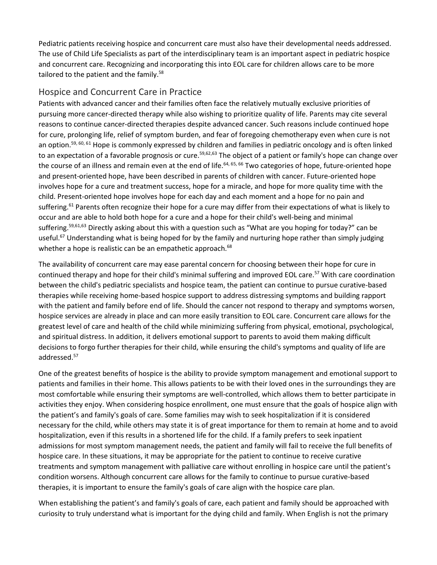Pediatric patients receiving hospice and concurrent care must also have their developmental needs addressed. The use of Child Life Specialists as part of the interdisciplinary team is an important aspect in pediatric hospice and concurrent care. Recognizing and incorporating this into EOL care for children allows care to be more tailored to the patient and the family.<sup>58</sup>

#### Hospice and Concurrent Care in Practice

Patients with advanced cancer and their families often face the relatively mutually exclusive priorities of pursuing more cancer-directed therapy while also wishing to prioritize quality of life. Parents may cite several reasons to continue cancer-directed therapies despite advanced cancer. Such reasons include continued hope for cure, prolonging life, relief of symptom burden, and fear of foregoing chemotherapy even when cure is not an option.<sup>59, 60, 61</sup> Hope is commonly expressed by children and families in pediatric oncology and is often linked to an expectation of a favorable prognosis or cure.<sup>59,62,63</sup> The object of a patient or family's hope can change over the course of an illness and remain even at the end of life.<sup>64, 65, 66</sup> Two categories of hope, future-oriented hope and present-oriented hope, have been described in parents of children with cancer. Future-oriented hope involves hope for a cure and treatment success, hope for a miracle, and hope for more quality time with the child. Present-oriented hope involves hope for each day and each moment and a hope for no pain and suffering.<sup>61</sup> Parents often recognize their hope for a cure may differ from their expectations of what is likely to occur and are able to hold both hope for a cure and a hope for their child's well-being and minimal suffering.<sup>59,61,63</sup> Directly asking about this with a question such as "What are you hoping for today?" can be useful.<sup>67</sup> Understanding what is being hoped for by the family and nurturing hope rather than simply judging whether a hope is realistic can be an empathetic approach.<sup>68</sup>

The availability of concurrent care may ease parental concern for choosing between their hope for cure in continued therapy and hope for their child's minimal suffering and improved EOL care.<sup>57</sup> With care coordination between the child's pediatric specialists and hospice team, the patient can continue to pursue curative-based therapies while receiving home-based hospice support to address distressing symptoms and building rapport with the patient and family before end of life. Should the cancer not respond to therapy and symptoms worsen, hospice services are already in place and can more easily transition to EOL care. Concurrent care allows for the greatest level of care and health of the child while minimizing suffering from physical, emotional, psychological, and spiritual distress. In addition, it delivers emotional support to parents to avoid them making difficult decisions to forgo further therapies for their child, while ensuring the child's symptoms and quality of life are addressed.<sup>57</sup>

One of the greatest benefits of hospice is the ability to provide symptom management and emotional support to patients and families in their home. This allows patients to be with their loved ones in the surroundings they are most comfortable while ensuring their symptoms are well-controlled, which allows them to better participate in activities they enjoy. When considering hospice enrollment, one must ensure that the goals of hospice align with the patient's and family's goals of care. Some families may wish to seek hospitalization if it is considered necessary for the child, while others may state it is of great importance for them to remain at home and to avoid hospitalization, even if this results in a shortened life for the child. If a family prefers to seek inpatient admissions for most symptom management needs, the patient and family will fail to receive the full benefits of hospice care. In these situations, it may be appropriate for the patient to continue to receive curative treatments and symptom management with palliative care without enrolling in hospice care until the patient's condition worsens. Although concurrent care allows for the family to continue to pursue curative-based therapies, it is important to ensure the family's goals of care align with the hospice care plan.

When establishing the patient's and family's goals of care, each patient and family should be approached with curiosity to truly understand what is important for the dying child and family. When English is not the primary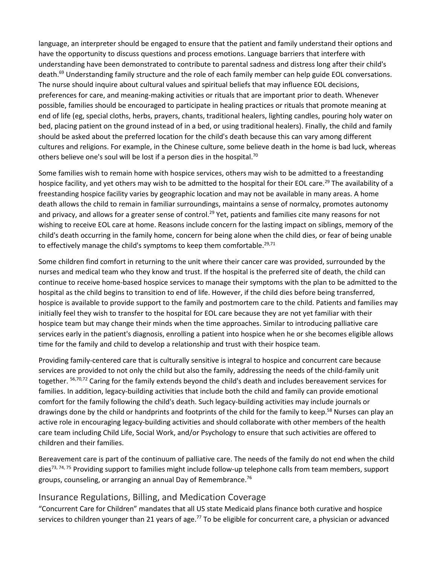language, an interpreter should be engaged to ensure that the patient and family understand their options and have the opportunity to discuss questions and process emotions. Language barriers that interfere with understanding have been demonstrated to contribute to parental sadness and distress long after their child's death.<sup>69</sup> Understanding family structure and the role of each family member can help guide EOL conversations. The nurse should inquire about cultural values and spiritual beliefs that may influence EOL decisions, preferences for care, and meaning-making activities or rituals that are important prior to death. Whenever possible, families should be encouraged to participate in healing practices or rituals that promote meaning at end of life (eg, special cloths, herbs, prayers, chants, traditional healers, lighting candles, pouring holy water on bed, placing patient on the ground instead of in a bed, or using traditional healers). Finally, the child and family should be asked about the preferred location for the child's death because this can vary among different cultures and religions. For example, in the Chinese culture, some believe death in the home is bad luck, whereas others believe one's soul will be lost if a person dies in the hospital.<sup>70</sup>

Some families wish to remain home with hospice services, others may wish to be admitted to a freestanding hospice facility, and yet others may wish to be admitted to the hospital for their EOL care.<sup>29</sup> The availability of a freestanding hospice facility varies by geographic location and may not be available in many areas. A home death allows the child to remain in familiar surroundings, maintains a sense of normalcy, promotes autonomy and privacy, and allows for a greater sense of control.<sup>29</sup> Yet, patients and families cite many reasons for not wishing to receive EOL care at home. Reasons include concern for the lasting impact on siblings, memory of the child's death occurring in the family home, concern for being alone when the child dies, or fear of being unable to effectively manage the child's symptoms to keep them comfortable.<sup>29,71</sup>

Some children find comfort in returning to the unit where their cancer care was provided, surrounded by the nurses and medical team who they know and trust. If the hospital is the preferred site of death, the child can continue to receive home-based hospice services to manage their symptoms with the plan to be admitted to the hospital as the child begins to transition to end of life. However, if the child dies before being transferred, hospice is available to provide support to the family and postmortem care to the child. Patients and families may initially feel they wish to transfer to the hospital for EOL care because they are not yet familiar with their hospice team but may change their minds when the time approaches. Similar to introducing palliative care services early in the patient's diagnosis, enrolling a patient into hospice when he or she becomes eligible allows time for the family and child to develop a relationship and trust with their hospice team.

Providing family-centered care that is culturally sensitive is integral to hospice and concurrent care because services are provided to not only the child but also the family, addressing the needs of the child-family unit together. <sup>56,70,72</sup> Caring for the family extends beyond the child's death and includes bereavement services for families. In addition, legacy-building activities that include both the child and family can provide emotional comfort for the family following the child's death. Such legacy-building activities may include journals or drawings done by the child or handprints and footprints of the child for the family to keep.<sup>58</sup> Nurses can play an active role in encouraging legacy-building activities and should collaborate with other members of the health care team including Child Life, Social Work, and/or Psychology to ensure that such activities are offered to children and their families.

Bereavement care is part of the continuum of palliative care. The needs of the family do not end when the child dies<sup>73, 74, 75</sup> Providing support to families might include follow-up telephone calls from team members, support groups, counseling, or arranging an annual Day of Remembrance.<sup>76</sup>

#### Insurance Regulations, Billing, and Medication Coverage

"Concurrent Care for Children" mandates that all US state Medicaid plans finance both curative and hospice services to children younger than 21 years of age.<sup>77</sup> To be eligible for concurrent care, a physician or advanced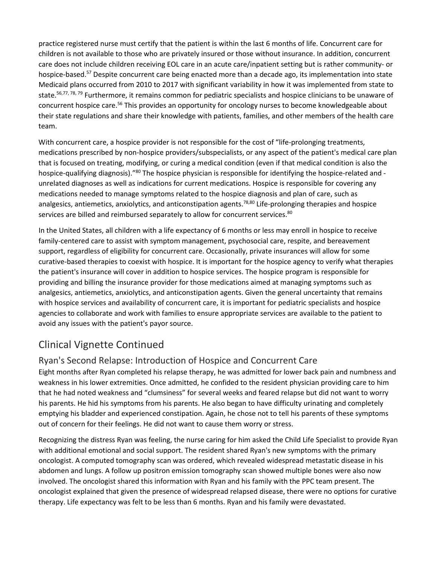practice registered nurse must certify that the patient is within the last 6 months of life. Concurrent care for children is not available to those who are privately insured or those without insurance. In addition, concurrent care does not include children receiving EOL care in an acute care/inpatient setting but is rather community- or hospice-based.<sup>57</sup> Despite concurrent care being enacted more than a decade ago, its implementation into state Medicaid plans occurred from 2010 to 2017 with significant variability in how it was implemented from state to state.<sup>56,77, 78, 79</sup> Furthermore, it remains common for pediatric specialists and hospice clinicians to be unaware of concurrent hospice care.<sup>56</sup> This provides an opportunity for oncology nurses to become knowledgeable about their state regulations and share their knowledge with patients, families, and other members of the health care team.

With concurrent care, a hospice provider is not responsible for the cost of "life-prolonging treatments, medications prescribed by non-hospice providers/subspecialists, or any aspect of the patient's medical care plan that is focused on treating, modifying, or curing a medical condition (even if that medical condition is also the hospice-qualifying diagnosis)."<sup>80</sup> The hospice physician is responsible for identifying the hospice-related and unrelated diagnoses as well as indications for current medications. Hospice is responsible for covering any medications needed to manage symptoms related to the hospice diagnosis and plan of care, such as analgesics, antiemetics, anxiolytics, and anticonstipation agents.<sup>78,80</sup> Life-prolonging therapies and hospice services are billed and reimbursed separately to allow for concurrent services.<sup>80</sup>

In the United States, all children with a life expectancy of 6 months or less may enroll in hospice to receive family-centered care to assist with symptom management, psychosocial care, respite, and bereavement support, regardless of eligibility for concurrent care. Occasionally, private insurances will allow for some curative-based therapies to coexist with hospice. It is important for the hospice agency to verify what therapies the patient's insurance will cover in addition to hospice services. The hospice program is responsible for providing and billing the insurance provider for those medications aimed at managing symptoms such as analgesics, antiemetics, anxiolytics, and anticonstipation agents. Given the general uncertainty that remains with hospice services and availability of concurrent care, it is important for pediatric specialists and hospice agencies to collaborate and work with families to ensure appropriate services are available to the patient to avoid any issues with the patient's payor source.

# Clinical Vignette Continued

#### Ryan's Second Relapse: Introduction of Hospice and Concurrent Care

Eight months after Ryan completed his relapse therapy, he was admitted for lower back pain and numbness and weakness in his lower extremities. Once admitted, he confided to the resident physician providing care to him that he had noted weakness and "clumsiness" for several weeks and feared relapse but did not want to worry his parents. He hid his symptoms from his parents. He also began to have difficulty urinating and completely emptying his bladder and experienced constipation. Again, he chose not to tell his parents of these symptoms out of concern for their feelings. He did not want to cause them worry or stress.

Recognizing the distress Ryan was feeling, the nurse caring for him asked the Child Life Specialist to provide Ryan with additional emotional and social support. The resident shared Ryan's new symptoms with the primary oncologist. A computed tomography scan was ordered, which revealed widespread metastatic disease in his abdomen and lungs. A follow up positron emission tomography scan showed multiple bones were also now involved. The oncologist shared this information with Ryan and his family with the PPC team present. The oncologist explained that given the presence of widespread relapsed disease, there were no options for curative therapy. Life expectancy was felt to be less than 6 months. Ryan and his family were devastated.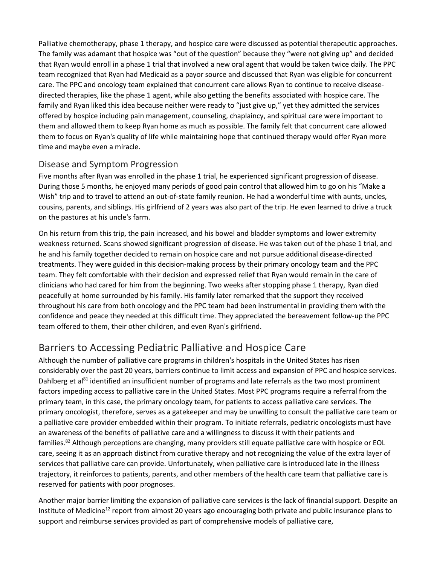Palliative chemotherapy, phase 1 therapy, and hospice care were discussed as potential therapeutic approaches. The family was adamant that hospice was "out of the question" because they "were not giving up" and decided that Ryan would enroll in a phase 1 trial that involved a new oral agent that would be taken twice daily. The PPC team recognized that Ryan had Medicaid as a payor source and discussed that Ryan was eligible for concurrent care. The PPC and oncology team explained that concurrent care allows Ryan to continue to receive diseasedirected therapies, like the phase 1 agent, while also getting the benefits associated with hospice care. The family and Ryan liked this idea because neither were ready to "just give up," yet they admitted the services offered by hospice including pain management, counseling, chaplaincy, and spiritual care were important to them and allowed them to keep Ryan home as much as possible. The family felt that concurrent care allowed them to focus on Ryan's quality of life while maintaining hope that continued therapy would offer Ryan more time and maybe even a miracle.

#### Disease and Symptom Progression

Five months after Ryan was enrolled in the phase 1 trial, he experienced significant progression of disease. During those 5 months, he enjoyed many periods of good pain control that allowed him to go on his "Make a Wish" trip and to travel to attend an out-of-state family reunion. He had a wonderful time with aunts, uncles, cousins, parents, and siblings. His girlfriend of 2 years was also part of the trip. He even learned to drive a truck on the pastures at his uncle's farm.

On his return from this trip, the pain increased, and his bowel and bladder symptoms and lower extremity weakness returned. Scans showed significant progression of disease. He was taken out of the phase 1 trial, and he and his family together decided to remain on hospice care and not pursue additional disease-directed treatments. They were guided in this decision-making process by their primary oncology team and the PPC team. They felt comfortable with their decision and expressed relief that Ryan would remain in the care of clinicians who had cared for him from the beginning. Two weeks after stopping phase 1 therapy, Ryan died peacefully at home surrounded by his family. His family later remarked that the support they received throughout his care from both oncology and the PPC team had been instrumental in providing them with the confidence and peace they needed at this difficult time. They appreciated the bereavement follow-up the PPC team offered to them, their other children, and even Ryan's girlfriend.

## Barriers to Accessing Pediatric Palliative and Hospice Care

Although the number of palliative care programs in children's hospitals in the United States has risen considerably over the past 20 years, barriers continue to limit access and expansion of PPC and hospice services. Dahlberg et al<sup>81</sup> identified an insufficient number of programs and late referrals as the two most prominent factors impeding access to palliative care in the United States. Most PPC programs require a referral from the primary team, in this case, the primary oncology team, for patients to access palliative care services. The primary oncologist, therefore, serves as a gatekeeper and may be unwilling to consult the palliative care team or a palliative care provider embedded within their program. To initiate referrals, pediatric oncologists must have an awareness of the benefits of palliative care and a willingness to discuss it with their patients and families.<sup>82</sup> Although perceptions are changing, many providers still equate palliative care with hospice or EOL care, seeing it as an approach distinct from curative therapy and not recognizing the value of the extra layer of services that palliative care can provide. Unfortunately, when palliative care is introduced late in the illness trajectory, it reinforces to patients, parents, and other members of the health care team that palliative care is reserved for patients with poor prognoses.

Another major barrier limiting the expansion of palliative care services is the lack of financial support. Despite an Institute of Medicine<sup>12</sup> report from almost 20 years ago encouraging both private and public insurance plans to support and reimburse services provided as part of comprehensive models of palliative care,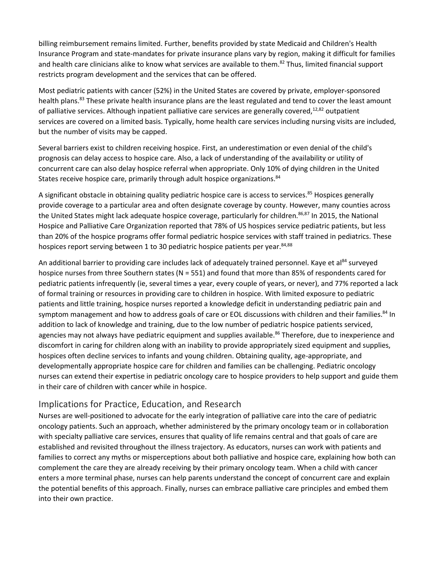billing reimbursement remains limited. Further, benefits provided by state Medicaid and Children's Health Insurance Program and state-mandates for private insurance plans vary by region, making it difficult for families and health care clinicians alike to know what services are available to them.<sup>82</sup> Thus, limited financial support restricts program development and the services that can be offered.

Most pediatric patients with cancer (52%) in the United States are covered by private, employer-sponsored health plans.<sup>83</sup> These private health insurance plans are the least regulated and tend to cover the least amount of palliative services. Although inpatient palliative care services are generally covered, $12,82$  outpatient services are covered on a limited basis. Typically, home health care services including nursing visits are included, but the number of visits may be capped.

Several barriers exist to children receiving hospice. First, an underestimation or even denial of the child's prognosis can delay access to hospice care. Also, a lack of understanding of the availability or utility of concurrent care can also delay hospice referral when appropriate. Only 10% of dying children in the United States receive hospice care, primarily through adult hospice organizations.<sup>84</sup>

A significant obstacle in obtaining quality pediatric hospice care is access to services.<sup>85</sup> Hospices generally provide coverage to a particular area and often designate coverage by county. However, many counties across the United States might lack adequate hospice coverage, particularly for children.<sup>86,87</sup> In 2015, the National Hospice and Palliative Care Organization reported that 78% of US hospices service pediatric patients, but less than 20% of the hospice programs offer formal pediatric hospice services with staff trained in pediatrics. These hospices report serving between 1 to 30 pediatric hospice patients per year.<sup>84,88</sup>

An additional barrier to providing care includes lack of adequately trained personnel. Kaye et al<sup>84</sup> surveyed hospice nurses from three Southern states (N = 551) and found that more than 85% of respondents cared for pediatric patients infrequently (ie, several times a year, every couple of years, or never), and 77% reported a lack of formal training or resources in providing care to children in hospice. With limited exposure to pediatric patients and little training, hospice nurses reported a knowledge deficit in understanding pediatric pain and symptom management and how to address goals of care or EOL discussions with children and their families.<sup>84</sup> In addition to lack of knowledge and training, due to the low number of pediatric hospice patients serviced, agencies may not always have pediatric equipment and supplies available.<sup>86</sup> Therefore, due to inexperience and discomfort in caring for children along with an inability to provide appropriately sized equipment and supplies, hospices often decline services to infants and young children. Obtaining quality, age-appropriate, and developmentally appropriate hospice care for children and families can be challenging. Pediatric oncology nurses can extend their expertise in pediatric oncology care to hospice providers to help support and guide them in their care of children with cancer while in hospice.

#### Implications for Practice, Education, and Research

Nurses are well-positioned to advocate for the early integration of palliative care into the care of pediatric oncology patients. Such an approach, whether administered by the primary oncology team or in collaboration with specialty palliative care services, ensures that quality of life remains central and that goals of care are established and revisited throughout the illness trajectory. As educators, nurses can work with patients and families to correct any myths or misperceptions about both palliative and hospice care, explaining how both can complement the care they are already receiving by their primary oncology team. When a child with cancer enters a more terminal phase, nurses can help parents understand the concept of concurrent care and explain the potential benefits of this approach. Finally, nurses can embrace palliative care principles and embed them into their own practice.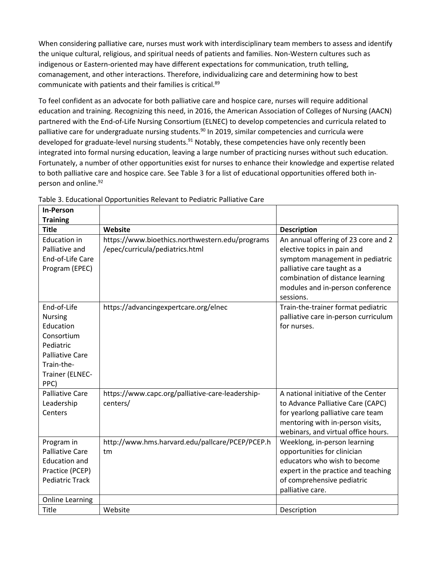When considering palliative care, nurses must work with interdisciplinary team members to assess and identify the unique cultural, religious, and spiritual needs of patients and families. Non-Western cultures such as indigenous or Eastern-oriented may have different expectations for communication, truth telling, comanagement, and other interactions. Therefore, individualizing care and determining how to best communicate with patients and their families is critical.89

To feel confident as an advocate for both palliative care and hospice care, nurses will require additional education and training. Recognizing this need, in 2016, the American Association of Colleges of Nursing (AACN) partnered with the End-of-Life Nursing Consortium (ELNEC) to develop competencies and curricula related to palliative care for undergraduate nursing students.<sup>90</sup> In 2019, similar competencies and curricula were developed for graduate-level nursing students.<sup>91</sup> Notably, these competencies have only recently been integrated into formal nursing education, leaving a large number of practicing nurses without such education. Fortunately, a number of other opportunities exist for nurses to enhance their knowledge and expertise related to both palliative care and hospice care. See Table 3 for a list of educational opportunities offered both inperson and online.<sup>92</sup>

| <b>In-Person</b>                     |                                                  |                                      |
|--------------------------------------|--------------------------------------------------|--------------------------------------|
| <b>Training</b>                      |                                                  |                                      |
| <b>Title</b>                         | Website                                          | <b>Description</b>                   |
| <b>Education in</b>                  | https://www.bioethics.northwestern.edu/programs  | An annual offering of 23 core and 2  |
| Palliative and                       | /epec/curricula/pediatrics.html                  | elective topics in pain and          |
| End-of-Life Care                     |                                                  | symptom management in pediatric      |
| Program (EPEC)                       |                                                  | palliative care taught as a          |
|                                      |                                                  | combination of distance learning     |
|                                      |                                                  | modules and in-person conference     |
|                                      |                                                  | sessions.                            |
| End-of-Life                          | https://advancingexpertcare.org/elnec            | Train-the-trainer format pediatric   |
| <b>Nursing</b>                       |                                                  | palliative care in-person curriculum |
| Education                            |                                                  | for nurses.                          |
| Consortium                           |                                                  |                                      |
| Pediatric                            |                                                  |                                      |
| <b>Palliative Care</b><br>Train-the- |                                                  |                                      |
|                                      |                                                  |                                      |
| Trainer (ELNEC-<br>PPC)              |                                                  |                                      |
| <b>Palliative Care</b>               | https://www.capc.org/palliative-care-leadership- | A national initiative of the Center  |
| Leadership                           | centers/                                         | to Advance Palliative Care (CAPC)    |
| Centers                              |                                                  | for yearlong palliative care team    |
|                                      |                                                  | mentoring with in-person visits,     |
|                                      |                                                  | webinars, and virtual office hours.  |
| Program in                           | http://www.hms.harvard.edu/pallcare/PCEP/PCEP.h  | Weeklong, in-person learning         |
| <b>Palliative Care</b>               | tm                                               | opportunities for clinician          |
| <b>Education and</b>                 |                                                  | educators who wish to become         |
| Practice (PCEP)                      |                                                  | expert in the practice and teaching  |
| <b>Pediatric Track</b>               |                                                  | of comprehensive pediatric           |
|                                      |                                                  | palliative care.                     |
| <b>Online Learning</b>               |                                                  |                                      |
| Title                                | Website                                          | Description                          |

Table 3. Educational Opportunities Relevant to Pediatric Palliative Care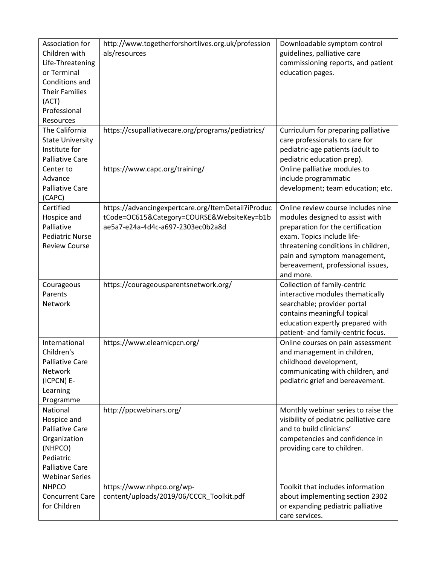| Association for<br>Children with        | http://www.togetherforshortlives.org.uk/profession<br>als/resources | Downloadable symptom control<br>guidelines, palliative care |
|-----------------------------------------|---------------------------------------------------------------------|-------------------------------------------------------------|
| Life-Threatening                        |                                                                     | commissioning reports, and patient                          |
| or Terminal                             |                                                                     | education pages.                                            |
| Conditions and                          |                                                                     |                                                             |
| <b>Their Families</b>                   |                                                                     |                                                             |
| (ACT)                                   |                                                                     |                                                             |
| Professional                            |                                                                     |                                                             |
| Resources                               |                                                                     |                                                             |
| The California                          | https://csupalliativecare.org/programs/pediatrics/                  | Curriculum for preparing palliative                         |
| <b>State University</b>                 |                                                                     | care professionals to care for                              |
| Institute for<br><b>Palliative Care</b> |                                                                     | pediatric-age patients (adult to                            |
| Center to                               | https://www.capc.org/training/                                      | pediatric education prep).<br>Online palliative modules to  |
| Advance                                 |                                                                     | include programmatic                                        |
| <b>Palliative Care</b>                  |                                                                     | development; team education; etc.                           |
| (CAPC)                                  |                                                                     |                                                             |
| Certified                               | https://advancingexpertcare.org/ItemDetail?iProduc                  | Online review course includes nine                          |
| Hospice and                             | tCode=OC615&Category=COURSE&WebsiteKey=b1b                          | modules designed to assist with                             |
| Palliative                              | ae5a7-e24a-4d4c-a697-2303ec0b2a8d                                   | preparation for the certification                           |
| <b>Pediatric Nurse</b>                  |                                                                     | exam. Topics include life-                                  |
| <b>Review Course</b>                    |                                                                     | threatening conditions in children,                         |
|                                         |                                                                     | pain and symptom management,                                |
|                                         |                                                                     | bereavement, professional issues,                           |
|                                         |                                                                     | and more.                                                   |
| Courageous                              | https://courageousparentsnetwork.org/                               | Collection of family-centric                                |
| Parents                                 |                                                                     | interactive modules thematically                            |
| Network                                 |                                                                     | searchable; provider portal                                 |
|                                         |                                                                     | contains meaningful topical                                 |
|                                         |                                                                     | education expertly prepared with                            |
|                                         |                                                                     | patient- and family-centric focus.                          |
| International<br>Children's             | https://www.elearnicpcn.org/                                        | Online courses on pain assessment                           |
| <b>Palliative Care</b>                  |                                                                     | and management in children,<br>childhood development,       |
| <b>Network</b>                          |                                                                     | communicating with children, and                            |
| (ICPCN) E-                              |                                                                     | pediatric grief and bereavement.                            |
| Learning                                |                                                                     |                                                             |
| Programme                               |                                                                     |                                                             |
| National                                | http://ppcwebinars.org/                                             | Monthly webinar series to raise the                         |
| Hospice and                             |                                                                     | visibility of pediatric palliative care                     |
| <b>Palliative Care</b>                  |                                                                     | and to build clinicians'                                    |
| Organization                            |                                                                     | competencies and confidence in                              |
| (NHPCO)                                 |                                                                     | providing care to children.                                 |
| Pediatric                               |                                                                     |                                                             |
| <b>Palliative Care</b>                  |                                                                     |                                                             |
| <b>Webinar Series</b>                   |                                                                     |                                                             |
| <b>NHPCO</b>                            | https://www.nhpco.org/wp-                                           | Toolkit that includes information                           |
| <b>Concurrent Care</b>                  | content/uploads/2019/06/CCCR_Toolkit.pdf                            | about implementing section 2302                             |
| for Children                            |                                                                     | or expanding pediatric palliative                           |
|                                         |                                                                     | care services.                                              |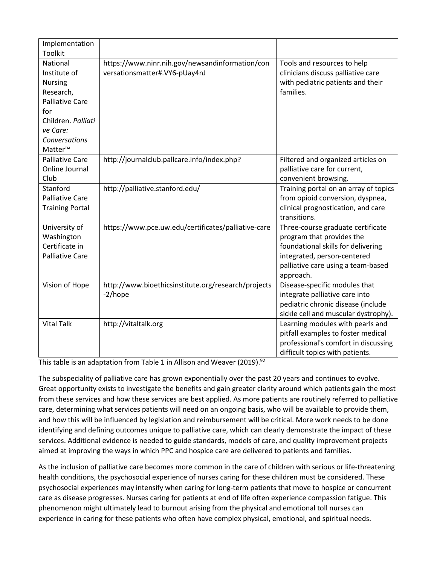| Implementation         |                                                     |                                       |
|------------------------|-----------------------------------------------------|---------------------------------------|
| <b>Toolkit</b>         |                                                     |                                       |
| National               | https://www.ninr.nih.gov/newsandinformation/con     | Tools and resources to help           |
| Institute of           | versationsmatter#.VY6-pUay4nJ                       | clinicians discuss palliative care    |
| <b>Nursing</b>         |                                                     | with pediatric patients and their     |
| Research,              |                                                     | families.                             |
| <b>Palliative Care</b> |                                                     |                                       |
| for                    |                                                     |                                       |
| Children. Palliati     |                                                     |                                       |
| ve Care:               |                                                     |                                       |
| Conversations          |                                                     |                                       |
| Matter™                |                                                     |                                       |
| <b>Palliative Care</b> | http://journalclub.pallcare.info/index.php?         | Filtered and organized articles on    |
| Online Journal         |                                                     | palliative care for current,          |
| Club                   |                                                     | convenient browsing.                  |
| Stanford               | http://palliative.stanford.edu/                     | Training portal on an array of topics |
| <b>Palliative Care</b> |                                                     | from opioid conversion, dyspnea,      |
| <b>Training Portal</b> |                                                     | clinical prognostication, and care    |
|                        |                                                     | transitions.                          |
| University of          | https://www.pce.uw.edu/certificates/palliative-care | Three-course graduate certificate     |
| Washington             |                                                     | program that provides the             |
| Certificate in         |                                                     | foundational skills for delivering    |
| <b>Palliative Care</b> |                                                     | integrated, person-centered           |
|                        |                                                     | palliative care using a team-based    |
|                        |                                                     | approach.                             |
| Vision of Hope         | http://www.bioethicsinstitute.org/research/projects | Disease-specific modules that         |
|                        | -2/hope                                             | integrate palliative care into        |
|                        |                                                     | pediatric chronic disease (include    |
|                        |                                                     | sickle cell and muscular dystrophy).  |
| <b>Vital Talk</b>      | http://vitaltalk.org                                | Learning modules with pearls and      |
|                        |                                                     | pitfall examples to foster medical    |
|                        |                                                     | professional's comfort in discussing  |
|                        |                                                     | difficult topics with patients.       |

This table is an adaptation from Table 1 in Allison and Weaver  $\overline{(2019)^{92}}$ 

The subspeciality of palliative care has grown exponentially over the past 20 years and continues to evolve. Great opportunity exists to investigate the benefits and gain greater clarity around which patients gain the most from these services and how these services are best applied. As more patients are routinely referred to palliative care, determining what services patients will need on an ongoing basis, who will be available to provide them, and how this will be influenced by legislation and reimbursement will be critical. More work needs to be done identifying and defining outcomes unique to palliative care, which can clearly demonstrate the impact of these services. Additional evidence is needed to guide standards, models of care, and quality improvement projects aimed at improving the ways in which PPC and hospice care are delivered to patients and families.

As the inclusion of palliative care becomes more common in the care of children with serious or life-threatening health conditions, the psychosocial experience of nurses caring for these children must be considered. These psychosocial experiences may intensify when caring for long-term patients that move to hospice or concurrent care as disease progresses. Nurses caring for patients at end of life often experience compassion fatigue. This phenomenon might ultimately lead to burnout arising from the physical and emotional toll nurses can experience in caring for these patients who often have complex physical, emotional, and spiritual needs.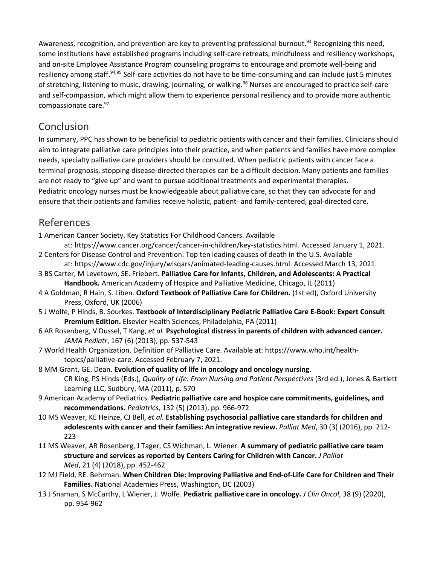Awareness, recognition, and prevention are key to preventing professional burnout.<sup>93</sup> Recognizing this need, some institutions have established programs including self-care retreats, mindfulness and resiliency workshops, and on-site Employee Assistance Program counseling programs to encourage and promote well-being and resiliency among staff.<sup>94,95</sup> Self-care activities do not have to be time-consuming and can include just 5 minutes of stretching, listening to music, drawing, journaling, or walking.<sup>96</sup> Nurses are encouraged to practice self-care and self-compassion, which might allow them to experience personal resiliency and to provide more authentic compassionate care.<sup>97</sup>

## Conclusion

In summary, PPC has shown to be beneficial to pediatric patients with cancer and their families. Clinicians should aim to integrate palliative care principles into their practice, and when patients and families have more complex needs, specialty palliative care providers should be consulted. When pediatric patients with cancer face a terminal prognosis, stopping disease-directed therapies can be a difficult decision. Many patients and families are not ready to "give up" and want to pursue additional treatments and experimental therapies. Pediatric oncology nurses must be knowledgeable about palliative care, so that they can advocate for and ensure that their patients and families receive holistic, patient- and family-centered, goal-directed care.

## References

1 American Cancer Society. Key Statistics For Childhood Cancers. Available

- at: https://www.cancer.org/cancer/cancer-in-children/key-statistics.html. Accessed January 1, 2021. 2 Centers for Disease Control and Prevention. Top ten leading causes of death in the U.S. Available
- at: https://www.cdc.gov/injury/wisqars/animated-leading-causes.html. Accessed March 13, 2021.
- 3 BS Carter, M Levetown, SE. Friebert. **Palliative Care for Infants, Children, and Adolescents: A Practical Handbook.** American Academy of Hospice and Palliative Medicine, Chicago, IL (2011)
- 4 A Goldman, R Hain, S. Liben. **Oxford Textbook of Palliative Care for Children.** (1st ed), Oxford University Press, Oxford, UK (2006)
- 5 J Wolfe, P Hinds, B. Sourkes. **Textbook of Interdisciplinary Pediatric Palliative Care E-Book: Expert Consult Premium Edition.** Elsevier Health Sciences, Philadelphia, PA (2011)
- 6 AR Rosenberg, V Dussel, T Kang, *et al.* **Psychological distress in parents of children with advanced cancer.**  *JAMA Pediatr*, 167 (6) (2013), pp. 537-543
- 7 World Health Organization. Definition of Palliative Care. Available at: https://www.who.int/healthtopics/palliative-care. Accessed February 7, 2021.
- 8 MM Grant, GE. Dean. **Evolution of quality of life in oncology and oncology nursing.**  CR King, PS Hinds (Eds.), *Quality of Life: From Nursing and Patient Perspectives* (3rd ed.), Jones & Bartlett Learning LLC, Sudbury, MA (2011), p. 570
- 9 American Academy of Pediatrics. **Pediatric palliative care and hospice care commitments, guidelines, and recommendations.** *Pediatrics*, 132 (5) (2013), pp. 966-972
- 10 MS Weaver, KE Heinze, CJ Bell, *et al.* **Establishing psychosocial palliative care standards for children and adolescents with cancer and their families: An integrative review.** *Palliat Med*, 30 (3) (2016), pp. 212- 223
- 11 MS Weaver, AR Rosenberg, J Tager, CS Wichman, L. Wiener. **A summary of pediatric palliative care team structure and services as reported by Centers Caring for Children with Cancer.** *J Palliat Med*, 21 (4) (2018), pp. 452-462
- 12 MJ Field, RE. Behrman. **When Children Die: Improving Palliative and End-of-Life Care for Children and Their Families.** National Academies Press, Washington, DC (2003)
- 13 J Snaman, S McCarthy, L Wiener, J. Wolfe. **Pediatric palliative care in oncology.** *J Clin Oncol*, 38 (9) (2020), pp. 954-962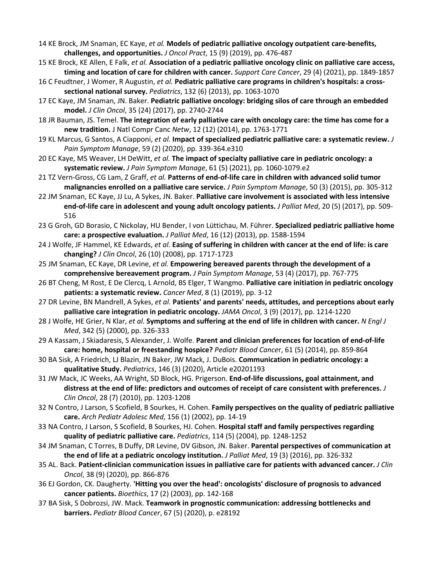- 14 KE Brock, JM Snaman, EC Kaye, *et al.* **Models of pediatric palliative oncology outpatient care-benefits, challenges, and opportunities.** *J Oncol Pract*, 15 (9) (2019), pp. 476-487
- 15 KE Brock, KE Allen, E Falk, *et al.* **Association of a pediatric palliative oncology clinic on palliative care access, timing and location of care for children with cancer.** *Support Care Cancer*, 29 (4) (2021), pp. 1849-1857
- 16 C Feudtner, J Womer, R Augustin, *et al.* **Pediatric palliative care programs in children's hospitals: a crosssectional national survey.** *Pediatrics*, 132 (6) (2013), pp. 1063-1070
- 17 EC Kaye, JM Snaman, JN. Baker. **Pediatric palliative oncology: bridging silos of care through an embedded model.** *J Clin Oncol*, 35 (24) (2017), pp. 2740-2744
- 18 JR Bauman, JS. Temel. **The integration of early palliative care with oncology care: the time has come for a new tradition.** J Natl Compr Canc *Netw*, 12 (12) (2014), pp. 1763-1771
- 19 KL Marcus, G Santos, A Ciapponi, *et al.* **Impact of specialized pediatric palliative care: a systematic review.** *J Pain Symptom Manage*, 59 (2) (2020), pp. 339-364.e310
- 20 EC Kaye, MS Weaver, LH DeWitt, *et al.* **The impact of specialty palliative care in pediatric oncology: a systematic review.** *J Pain Symptom Manage*, 61 (5) (2021), pp. 1060-1079.e2
- 21 TZ Vern-Gross, CG Lam, Z Graff, *et al.* **Patterns of end-of-life care in children with advanced solid tumor malignancies enrolled on a palliative care service.** *J Pain Symptom Manage*, 50 (3) (2015), pp. 305-312
- 22 JM Snaman, EC Kaye, JJ Lu, A Sykes, JN. Baker. **Palliative care involvement is associated with less intensive end-of-life care in adolescent and young adult oncology patients.** *J Palliat Med*, 20 (5) (2017), pp. 509- 516
- 23 G Groh, GD Borasio, C Nickolay, HU Bender, I von Lüttichau, M. Führer. **Specialized pediatric palliative home care: a prospective evaluation.** *J Palliat Med*, 16 (12) (2013), pp. 1588-1594
- 24 J Wolfe, JF Hammel, KE Edwards, *et al.* **Easing of suffering in children with cancer at the end of life: is care changing?** *J Clin Oncol*, 26 (10) (2008), pp. 1717-1723
- 25 JM Snaman, EC Kaye, DR Levine, *et al.* **Empowering bereaved parents through the development of a comprehensive bereavement program.** *J Pain Symptom Manage*, 53 (4) (2017), pp. 767-775
- 26 BT Cheng, M Rost, E De Clercq, L Arnold, BS Elger, T Wangmo. **Palliative care initiation in pediatric oncology patients: a systematic review.** *Cancer Med*, 8 (1) (2019), pp. 3-12
- 27 DR Levine, BN Mandrell, A Sykes, *et al.* **Patients' and parents' needs, attitudes, and perceptions about early palliative care integration in pediatric oncology.** *JAMA Oncol*, 3 (9) (2017), pp. 1214-1220
- 28 J Wolfe, HE Grier, N Klar, *et al.* **Symptoms and suffering at the end of life in children with cancer.** *N Engl J Med*, 342 (5) (2000), pp. 326-333
- 29 A Kassam, J Skiadaresis, S Alexander, J. Wolfe. **Parent and clinician preferences for location of end-of-life care: home, hospital or freestanding hospice?** *Pediatr Blood Cance*r, 61 (5) (2014), pp. 859-864
- 30 BA Sisk, A Friedrich, LJ Blazin, JN Baker, JW Mack, J. DuBois. **Communication in pediatric oncology: a qualitative Study.** *Pediatrics*, 146 (3) (2020), Article e20201193
- 31 JW Mack, JC Weeks, AA Wright, SD Block, HG. Prigerson. **End-of-life discussions, goal attainment, and distress at the end of life: predictors and outcomes of receipt of care consistent with preferences.** *J Clin Oncol*, 28 (7) (2010), pp. 1203-1208
- 32 N Contro, J Larson, S Scofield, B Sourkes, H. Cohen. **Family perspectives on the quality of pediatric palliative care.** *Arch Pediatr Adolesc Med*, 156 (1) (2002), pp. 14-19
- 33 NA Contro, J Larson, S Scofield, B Sourkes, HJ. Cohen. **Hospital staff and family perspectives regarding quality of pediatric palliative care.** *Pediatrics*, 114 (5) (2004), pp. 1248-1252
- 34 JM Snaman, C Torres, B Duffy, DR Levine, DV Gibson, JN. Baker. **Parental perspectives of communication at the end of life at a pediatric oncology institution.** *J Palliat Med*, 19 (3) (2016), pp. 326-332
- 35 AL. Back. **Patient-clinician communication issues in palliative care for patients with advanced cancer.** *J Clin Oncol*, 38 (9) (2020), pp. 866-876
- 36 EJ Gordon, CK. Daugherty. **'Hitting you over the head': oncologists' disclosure of prognosis to advanced cancer patients.** *Bioethics*, 17 (2) (2003), pp. 142-168
- 37 BA Sisk, S Dobrozsi, JW. Mack. **Teamwork in prognostic communication: addressing bottlenecks and barriers.** *Pediatr Blood Cancer*, 67 (5) (2020), p. e28192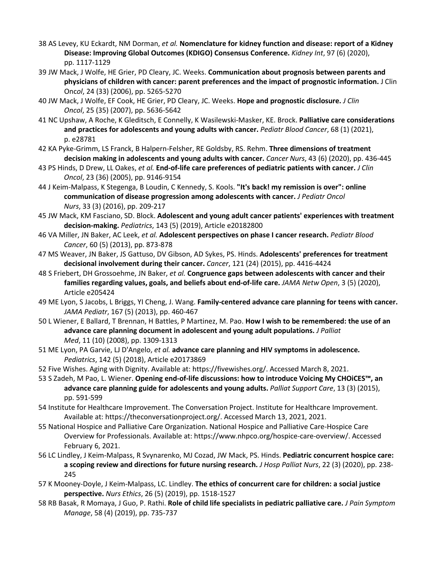- 38 AS Levey, KU Eckardt, NM Dorman, *et al.* **Nomenclature for kidney function and disease: report of a Kidney Disease: Improving Global Outcomes (KDIGO) Consensus Conference.** *Kidney Int*, 97 (6) (2020), pp. 1117-1129
- 39 JW Mack, J Wolfe, HE Grier, PD Cleary, JC. Weeks. **Communication about prognosis between parents and physicians of children with cancer: parent preferences and the impact of prognostic information.** J Clin Onc*ol*, 24 (33) (2006), pp. 5265-5270
- 40 JW Mack, J Wolfe, EF Cook, HE Grier, PD Cleary, JC. Weeks. **Hope and prognostic disclosure.** *J Clin Oncol*, 25 (35) (2007), pp. 5636-5642
- 41 NC Upshaw, A Roche, K Gleditsch, E Connelly, K Wasilewski-Masker, KE. Brock. **Palliative care considerations and practices for adolescents and young adults with cancer.** *Pediatr Blood Cancer*, 68 (1) (2021), p. e28781
- 42 KA Pyke-Grimm, LS Franck, B Halpern-Felsher, RE Goldsby, RS. Rehm. **Three dimensions of treatment decision making in adolescents and young adults with cancer.** *Cancer Nurs*, 43 (6) (2020), pp. 436-445
- 43 PS Hinds, D Drew, LL Oakes, *et al.* **End-of-life care preferences of pediatric patients with cancer.** *J Clin Oncol*, 23 (36) (2005), pp. 9146-9154
- 44 J Keim-Malpass, K Stegenga, B Loudin, C Kennedy, S. Kools. **"It's back! my remission is over": online communication of disease progression among adolescents with cancer.** *J Pediatr Oncol Nurs*, 33 (3) (2016), pp. 209-217
- 45 JW Mack, KM Fasciano, SD. Block. **Adolescent and young adult cancer patients' experiences with treatment decision-making.** *Pediatrics*, 143 (5) (2019), Article e20182800
- 46 VA Miller, JN Baker, AC Leek, *et al.* **Adolescent perspectives on phase I cancer research.** *Pediatr Blood Cancer*, 60 (5) (2013), pp. 873-878
- 47 MS Weaver, JN Baker, JS Gattuso, DV Gibson, AD Sykes, PS. Hinds. **Adolescents' preferences for treatment decisional involvement during their cancer.** *Cancer*, 121 (24) (2015), pp. 4416-4424
- 48 S Friebert, DH Grossoehme, JN Baker, *et al.* **Congruence gaps between adolescents with cancer and their families regarding values, goals, and beliefs about end-of-life care.** *JAMA Netw Open*, 3 (5) (2020), Article e205424
- 49 ME Lyon, S Jacobs, L Briggs, YI Cheng, J. Wang. **Family-centered advance care planning for teens with cancer.**  *JAMA Pediatr*, 167 (5) (2013), pp. 460-467
- 50 L Wiener, E Ballard, T Brennan, H Battles, P Martinez, M. Pao. **How I wish to be remembered: the use of an advance care planning document in adolescent and young adult populations.** *J Palliat Med*, 11 (10) (2008), pp. 1309-1313
- 51 ME Lyon, PA Garvie, LJ D'Angelo, *et al.* **advance care planning and HIV symptoms in adolescence.**  *Pediatrics*, 142 (5) (2018), Article e20173869
- 52 Five Wishes. Aging with Dignity. Available at: https://fivewishes.org/. Accessed March 8, 2021.
- 53 S Zadeh, M Pao, L. Wiener. **Opening end-of-life discussions: how to introduce Voicing My CHOiCES™, an advance care planning guide for adolescents and young adults.** *Palliat Support Care*, 13 (3) (2015), pp. 591-599
- 54 Institute for Healthcare Improvement. The Conversation Project. Institute for Healthcare Improvement. Available at: https://theconversationproject.org/. Accessed March 13, 2021, 2021.
- 55 National Hospice and Palliative Care Organization. National Hospice and Palliative Care-Hospice Care Overview for Professionals. Available at: https://www.nhpco.org/hospice-care-overview/. Accessed February 6, 2021.
- 56 LC Lindley, J Keim-Malpass, R Svynarenko, MJ Cozad, JW Mack, PS. Hinds. **Pediatric concurrent hospice care: a scoping review and directions for future nursing research.** *J Hosp Palliat Nurs*, 22 (3) (2020), pp. 238- 245
- 57 K Mooney-Doyle, J Keim-Malpass, LC. Lindley. **The ethics of concurrent care for children: a social justice perspective.** *Nurs Ethics*, 26 (5) (2019), pp. 1518-1527
- 58 RB Basak, R Momaya, J Guo, P. Rathi. **Role of child life specialists in pediatric palliative care.** *J Pain Symptom Manage*, 58 (4) (2019), pp. 735-737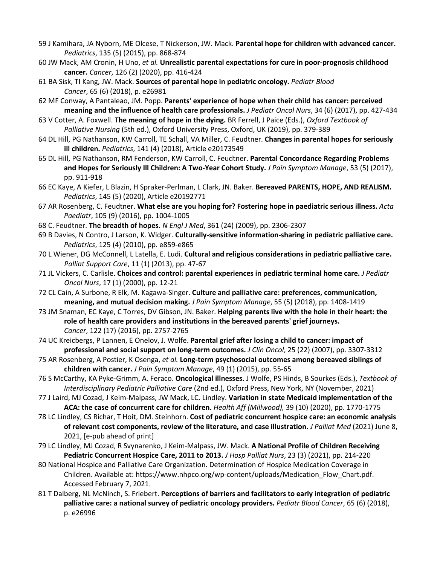- 59 J Kamihara, JA Nyborn, ME Olcese, T Nickerson, JW. Mack. **Parental hope for children with advanced cancer.**  *Pediatrics*, 135 (5) (2015), pp. 868-874
- 60 JW Mack, AM Cronin, H Uno, *et al.* **Unrealistic parental expectations for cure in poor-prognosis childhood cancer.** *Cancer*, 126 (2) (2020), pp. 416-424
- 61 BA Sisk, TI Kang, JW. Mack. **Sources of parental hope in pediatric oncology.** *Pediatr Blood Cancer*, 65 (6) (2018), p. e26981
- 62 MF Conway, A Pantaleao, JM. Popp. **Parents' experience of hope when their child has cancer: perceived meaning and the influence of health care professionals.** *J Pediatr Oncol Nurs*, 34 (6) (2017), pp. 427-434
- 63 V Cotter, A. Foxwell. **The meaning of hope in the dying.** BR Ferrell, J Paice (Eds.), *Oxford Textbook of Palliative Nursing* (5th ed.), Oxford University Press, Oxford, UK (2019), pp. 379-389
- 64 DL Hill, PG Nathanson, KW Carroll, TE Schall, VA Miller, C. Feudtner. **Changes in parental hopes for seriously ill children.** *Pediatrics*, 141 (4) (2018), Article e20173549
- 65 DL Hill, PG Nathanson, RM Fenderson, KW Carroll, C. Feudtner. **Parental Concordance Regarding Problems and Hopes for Seriously Ill Children: A Two-Year Cohort Study.** *J Pain Symptom Manage*, 53 (5) (2017), pp. 911-918
- 66 EC Kaye, A Kiefer, L Blazin, H Spraker-Perlman, L Clark, JN. Baker. **Bereaved PARENTS, HOPE, AND REALISM.**  *Pediatrics*, 145 (5) (2020), Article e20192771
- 67 AR Rosenberg, C. Feudtner. **What else are you hoping for? Fostering hope in paediatric serious illness.** *Acta Paediatr*, 105 (9) (2016), pp. 1004-1005
- 68 C. Feudtner. **The breadth of hopes.** *N Engl J Med*, 361 (24) (2009), pp. 2306-2307
- 69 B Davies, N Contro, J Larson, K. Widger. **Culturally-sensitive information-sharing in pediatric palliative care.**  *Pediatrics*, 125 (4) (2010), pp. e859-e865
- 70 L Wiener, DG McConnell, L Latella, E. Ludi. **Cultural and religious considerations in pediatric palliative care.**  *Palliat Support Care*, 11 (1) (2013), pp. 47-67
- 71 JL Vickers, C. Carlisle. **Choices and control: parental experiences in pediatric terminal home care.** *J Pediatr Oncol Nurs*, 17 (1) (2000), pp. 12-21
- 72 CL Cain, A Surbone, R Elk, M. Kagawa-Singer. **Culture and palliative care: preferences, communication, meaning, and mutual decision making.** *J Pain Symptom Manage*, 55 (5) (2018), pp. 1408-1419
- 73 JM Snaman, EC Kaye, C Torres, DV Gibson, JN. Baker. **Helping parents live with the hole in their heart: the role of health care providers and institutions in the bereaved parents' grief journeys.**  *Cancer*, 122 (17) (2016), pp. 2757-2765
- 74 UC Kreicbergs, P Lannen, E Onelov, J. Wolfe. **Parental grief after losing a child to cancer: impact of professional and social support on long-term outcomes.** *J Clin Oncol*, 25 (22) (2007), pp. 3307-3312
- 75 AR Rosenberg, A Postier, K Osenga, *et al.* **Long-term psychosocial outcomes among bereaved siblings of children with cancer.** *J Pain Symptom Manage*, 49 (1) (2015), pp. 55-65
- 76 S McCarthy, KA Pyke-Grimm, A. Feraco. **Oncological illnesses.** J Wolfe, PS Hinds, B Sourkes (Eds.), *Textbook of Interdisciplinary Pediatric Palliative Care* (2nd ed.), Oxford Press, New York, NY (November, 2021)
- 77 J Laird, MJ Cozad, J Keim-Malpass, JW Mack, LC. Lindley. **Variation in state Medicaid implementation of the ACA: the case of concurrent care for children.** *Health Aff (Millwood),* 39 (10) (2020), pp. 1770-1775
- 78 LC Lindley, CS Richar, T Hoit, DM. Steinhorn. **Cost of pediatric concurrent hospice care: an economic analysis of relevant cost components, review of the literature, and case illustration.** *J Palliat Med* (2021) June 8, 2021, [e-pub ahead of print]
- 79 LC Lindley, MJ Cozad, R Svynarenko, J Keim-Malpass, JW. Mack. **A National Profile of Children Receiving Pediatric Concurrent Hospice Care, 2011 to 2013.** *J Hosp Palliat Nurs*, 23 (3) (2021), pp. 214-220
- 80 National Hospice and Palliative Care Organization. Determination of Hospice Medication Coverage in Children. Available at: https://www.nhpco.org/wp-content/uploads/Medication\_Flow\_Chart.pdf. Accessed February 7, 2021.
- 81 T Dalberg, NL McNinch, S. Friebert. **Perceptions of barriers and facilitators to early integration of pediatric palliative care: a national survey of pediatric oncology providers.** *Pediatr Blood Cancer*, 65 (6) (2018), p. e26996